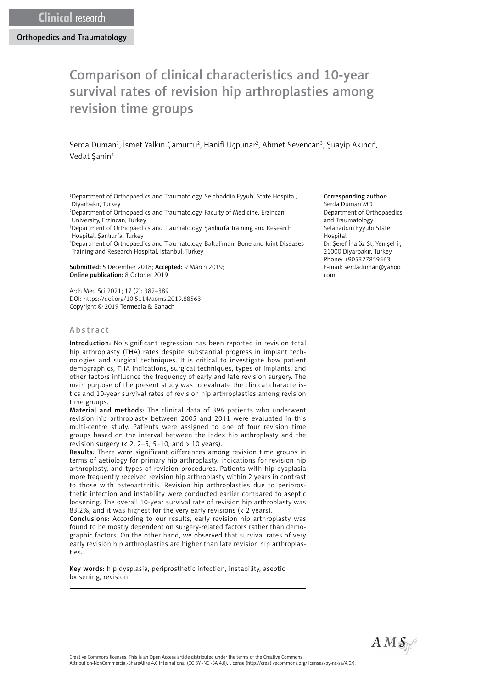# Comparison of clinical characteristics and 10-year survival rates of revision hip arthroplasties among revision time groups

Serda Duman<sup>1</sup>, İsmet Yalkın Çamurcu<sup>2</sup>, Hanifi Uçpunar<sup>2</sup>, Ahmet Sevencan<sup>3</sup>, Şuayip Akıncı<sup>4</sup>, Vedat Şahin4

1 Department of Orthopaedics and Traumatology, Selahaddin Eyyubi State Hospital, Diyarbakır, Turkey

2 Department of Orthopaedics and Traumatology, Faculty of Medicine, Erzincan University, Erzincan, Turkey

3 Department of Orthopaedics and Traumatology, Şanlıurfa Training and Research Hospital, Şanlıurfa, Turkey

4 Department of Orthopaedics and Traumatology, Baltalimani Bone and Joint Diseases Training and Research Hospital, İstanbul, Turkey

Submitted: 5 December 2018; Accepted: 9 March 2019; Online publication: 8 October 2019

Arch Med Sci 2021; 17 (2): 382–389 DOI: https://doi.org/10.5114/aoms.2019.88563 Copyright © 2019 Termedia & Banach

#### Abstract

Introduction: No significant regression has been reported in revision total hip arthroplasty (THA) rates despite substantial progress in implant technologies and surgical techniques. It is critical to investigate how patient demographics, THA indications, surgical techniques, types of implants, and other factors influence the frequency of early and late revision surgery. The main purpose of the present study was to evaluate the clinical characteristics and 10-year survival rates of revision hip arthroplasties among revision time groups.

Material and methods: The clinical data of 396 patients who underwent revision hip arthroplasty between 2005 and 2011 were evaluated in this multi-centre study. Patients were assigned to one of four revision time groups based on the interval between the index hip arthroplasty and the revision surgery ( $\langle$  2, 2–5, 5–10, and  $>$  10 years).

Results: There were significant differences among revision time groups in terms of aetiology for primary hip arthroplasty, indications for revision hip arthroplasty, and types of revision procedures. Patients with hip dysplasia more frequently received revision hip arthroplasty within 2 years in contrast to those with osteoarthritis. Revision hip arthroplasties due to periprosthetic infection and instability were conducted earlier compared to aseptic loosening. The overall 10-year survival rate of revision hip arthroplasty was 83.2%, and it was highest for the very early revisions (< 2 years).

Conclusions: According to our results, early revision hip arthroplasty was found to be mostly dependent on surgery-related factors rather than demographic factors. On the other hand, we observed that survival rates of very early revision hip arthroplasties are higher than late revision hip arthroplasties.

Key words: hip dysplasia, periprosthetic infection, instability, aseptic loosening, revision.

#### Corresponding author:

Serda Duman MD Department of Orthopaedics and Traumatology Selahaddin Eyyubi State Hospital Dr. Şeref İnalöz St, Yenişehir, 21000 Diyarbakır, Turkey Phone: +905327859563 E-mail: [serdaduman@yahoo.](mailto:serdaduman@yahoo.com) [com](mailto:serdaduman@yahoo.com)



Creative Commons licenses: This is an Open Access article distributed under the terms of the Creative Commons

Attribution-NonCommercial-ShareAlike 4.0 International (CC BY -NC -SA 4.0). License (http://creativecommons.org/licenses/by-nc-sa/4.0/).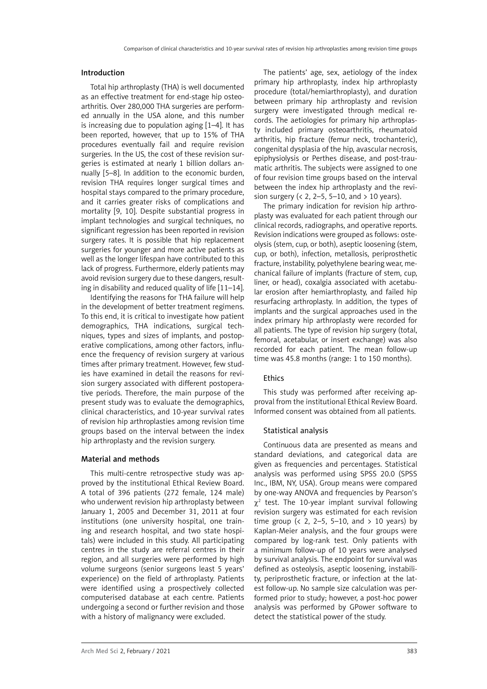#### Introduction

Total hip arthroplasty (THA) is well documented as an effective treatment for end-stage hip osteoarthritis. Over 280,000 THA surgeries are performed annually in the USA alone, and this number is increasing due to population aging [1–4]. It has been reported, however, that up to 15% of THA procedures eventually fail and require revision surgeries. In the US, the cost of these revision surgeries is estimated at nearly 1 billion dollars annually [5–8]. In addition to the economic burden, revision THA requires longer surgical times and hospital stays compared to the primary procedure, and it carries greater risks of complications and mortality [9, 10]. Despite substantial progress in implant technologies and surgical techniques, no significant regression has been reported in revision surgery rates. It is possible that hip replacement surgeries for younger and more active patients as well as the longer lifespan have contributed to this lack of progress. Furthermore, elderly patients may avoid revision surgery due to these dangers, resulting in disability and reduced quality of life [11–14].

Identifying the reasons for THA failure will help in the development of better treatment regimens. To this end, it is critical to investigate how patient demographics, THA indications, surgical techniques, types and sizes of implants, and postoperative complications, among other factors, influence the frequency of revision surgery at various times after primary treatment. However, few studies have examined in detail the reasons for revision surgery associated with different postoperative periods. Therefore, the main purpose of the present study was to evaluate the demographics, clinical characteristics, and 10-year survival rates of revision hip arthroplasties among revision time groups based on the interval between the index hip arthroplasty and the revision surgery.

# Material and methods

This multi-centre retrospective study was approved by the institutional Ethical Review Board. A total of 396 patients (272 female, 124 male) who underwent revision hip arthroplasty between January 1, 2005 and December 31, 2011 at four institutions (one university hospital, one training and research hospital, and two state hospitals) were included in this study. All participating centres in the study are referral centres in their region, and all surgeries were performed by high volume surgeons (senior surgeons least 5 years' experience) on the field of arthroplasty. Patients were identified using a prospectively collected computerised database at each centre. Patients undergoing a second or further revision and those with a history of malignancy were excluded.

The patients' age, sex, aetiology of the index primary hip arthroplasty, index hip arthroplasty procedure (total/hemiarthroplasty), and duration between primary hip arthroplasty and revision surgery were investigated through medical records. The aetiologies for primary hip arthroplasty included primary osteoarthritis, rheumatoid arthritis, hip fracture (femur neck, trochanteric), congenital dysplasia of the hip, avascular necrosis, epiphysiolysis or Perthes disease, and post-traumatic arthritis. The subjects were assigned to one of four revision time groups based on the interval between the index hip arthroplasty and the revision surgery ( $\lt$  2, 2–5, 5–10, and  $> 10$  years).

The primary indication for revision hip arthroplasty was evaluated for each patient through our clinical records, radiographs, and operative reports. Revision indications were grouped as follows: osteolysis (stem, cup, or both), aseptic loosening (stem, cup, or both), infection, metallosis, periprosthetic fracture, instability, polyethylene bearing wear, mechanical failure of implants (fracture of stem, cup, liner, or head), coxalgia associated with acetabular erosion after hemiarthroplasty, and failed hip resurfacing arthroplasty. In addition, the types of implants and the surgical approaches used in the index primary hip arthroplasty were recorded for all patients. The type of revision hip surgery (total, femoral, acetabular, or insert exchange) was also recorded for each patient. The mean follow-up time was 45.8 months (range: 1 to 150 months).

# Ethics

This study was performed after receiving approval from the institutional Ethical Review Board. Informed consent was obtained from all patients.

# Statistical analysis

Continuous data are presented as means and standard deviations, and categorical data are given as frequencies and percentages. Statistical analysis was performed using SPSS 20.0 (SPSS Inc., IBM, NY, USA). Group means were compared by one-way ANOVA and frequencies by Pearson's  $\chi^2$  test. The 10-year implant survival following revision surgery was estimated for each revision time group ( $\langle$  2, 2–5, 5–10, and  $> 10$  years) by Kaplan-Meier analysis, and the four groups were compared by log-rank test. Only patients with a minimum follow-up of 10 years were analysed by survival analysis. The endpoint for survival was defined as osteolysis, aseptic loosening, instability, periprosthetic fracture, or infection at the latest follow-up. No sample size calculation was performed prior to study; however, a post-hoc power analysis was performed by GPower software to detect the statistical power of the study.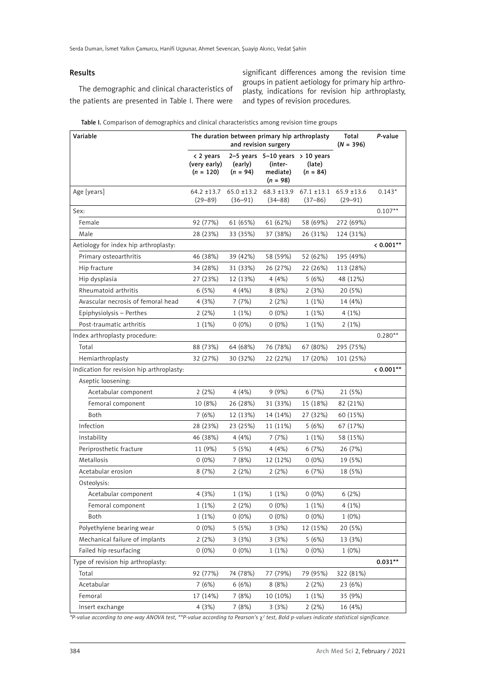# Results

The demographic and clinical characteristics of the patients are presented in Table I. There were significant differences among the revision time groups in patient aetiology for primary hip arthroplasty, indications for revision hip arthroplasty, and types of revision procedures.

| Table I. Comparison of demographics and clinical characteristics among revision time groups |
|---------------------------------------------------------------------------------------------|
|---------------------------------------------------------------------------------------------|

| Variable                                  | The duration between primary hip arthroplasty<br>and revision surgery |                       |                                                                          |                                | Total<br>$(N = 396)$           | P-value   |
|-------------------------------------------|-----------------------------------------------------------------------|-----------------------|--------------------------------------------------------------------------|--------------------------------|--------------------------------|-----------|
|                                           | < 2 years<br>(very early)<br>$(n = 120)$                              | (early)<br>$(n = 94)$ | 2-5 years $5-10$ years $> 10$ years<br>(inter-<br>mediate)<br>$(n = 98)$ | (late)<br>$(n = 84)$           |                                |           |
| Age [years]                               | $64.2$ ±13.7<br>$(29 - 89)$                                           | $(36 - 91)$           | $65.0 \pm 13.2$ $68.3 \pm 13.9$<br>$(34 - 88)$                           | $67.1 \pm 13.1$<br>$(37 - 86)$ | $65.9 \pm 13.6$<br>$(29 - 91)$ | $0.143*$  |
| Sex:                                      |                                                                       |                       |                                                                          |                                |                                | $0.107**$ |
| Female                                    | 92 (77%)                                                              | 61 (65%)              | 61 (62%)                                                                 | 58 (69%)                       | 272 (69%)                      |           |
| Male                                      | 28 (23%)                                                              | 33 (35%)              | 37 (38%)                                                                 | 26 (31%)                       | 124 (31%)                      |           |
| Aetiology for index hip arthroplasty:     |                                                                       |                       |                                                                          |                                |                                | $0.001**$ |
| Primary osteoarthritis                    | 46 (38%)                                                              | 39 (42%)              | 58 (59%)                                                                 | 52 (62%)                       | 195 (49%)                      |           |
| Hip fracture                              | 34 (28%)                                                              | 31 (33%)              | 26 (27%)                                                                 | 22 (26%)                       | 113 (28%)                      |           |
| Hip dysplasia                             | 27 (23%)                                                              | 12 (13%)              | 4(4%)                                                                    | 5(6%)                          | 48 (12%)                       |           |
| Rheumatoid arthritis                      | 6(5%)                                                                 | 4(4%)                 | 8(8%)                                                                    | 2(3%)                          | 20 (5%)                        |           |
| Avascular necrosis of femoral head        | 4(3%)                                                                 | 7(7%)                 | 2(2%)                                                                    | 1(1%)                          | 14 (4%)                        |           |
| Epiphysiolysis - Perthes                  | 2(2%)                                                                 | 1(1%)                 | $0(0\%)$                                                                 | 1(1%)                          | 4(1%)                          |           |
| Post-traumatic arthritis                  | $1(1\%)$                                                              | $0(0\%)$              | $0(0\%)$                                                                 | 1(1%)                          | 2(1%)                          |           |
| Index arthroplasty procedure:             |                                                                       |                       |                                                                          |                                |                                | $0.280**$ |
| Total                                     | 88 (73%)                                                              | 64 (68%)              | 76 (78%)                                                                 | 67 (80%)                       | 295 (75%)                      |           |
| Hemiarthroplasty                          | 32 (27%)                                                              | 30 (32%)              | 22 (22%)                                                                 | 17 (20%)                       | 101 (25%)                      |           |
| Indication for revision hip arthroplasty: |                                                                       |                       |                                                                          |                                |                                | $0.001**$ |
| Aseptic loosening:                        |                                                                       |                       |                                                                          |                                |                                |           |
| Acetabular component                      | 2(2%)                                                                 | 4(4%)                 | 9(9%)                                                                    | 6(7%)                          | 21 (5%)                        |           |
| Femoral component                         | 10 (8%)                                                               | 26 (28%)              | 31 (33%)                                                                 | 15 (18%)                       | 82 (21%)                       |           |
| Both                                      | 7(6%)                                                                 | 12 (13%)              | 14 (14%)                                                                 | 27 (32%)                       | 60 (15%)                       |           |
| Infection                                 | 28 (23%)                                                              | 23 (25%)              | 11 (11%)                                                                 | 5(6%)                          | 67 (17%)                       |           |
| Instability                               | 46 (38%)                                                              | 4(4%)                 | 7(7%)                                                                    | 1(1%)                          | 58 (15%)                       |           |
| Periprosthetic fracture                   | 11 (9%)                                                               | 5(5%)                 | 4 (4%)                                                                   | 6(7%)                          | 26 (7%)                        |           |
| Metallosis                                | $0(0\%)$                                                              | 7(8%)                 | 12 (12%)                                                                 | $0(0\%)$                       | 19 (5%)                        |           |
| Acetabular erosion                        | 8(7%)                                                                 | 2(2%)                 | 2(2%)                                                                    | 6(7%)                          | 18 (5%)                        |           |
| Osteolysis:                               |                                                                       |                       |                                                                          |                                |                                |           |
| Acetabular component                      | 4(3%)                                                                 | 1(1%)                 | 1(1%)                                                                    | $0(0\%)$                       | 6(2%)                          |           |
| Femoral component                         | 1(1%)                                                                 | 2(2%)                 | $0(0\%)$                                                                 | 1(1%)                          | 4(1%)                          |           |
| Both                                      | 1(1%)                                                                 | $0(0\%)$              | $0(0\%)$                                                                 | $0(0\%)$                       | $1(0\%)$                       |           |
| Polyethylene bearing wear                 | $0(0\%)$                                                              | 5(5%)                 | 3(3%)                                                                    | 12 (15%)                       | 20 (5%)                        |           |
| Mechanical failure of implants            | 2(2%)                                                                 | 3(3%)                 | 3(3%)                                                                    | 5(6%)                          | 13 (3%)                        |           |
| Failed hip resurfacing                    | $0(0\%)$                                                              | $0(0\%)$              | 1(1%)                                                                    | $0(0\%)$                       | $1(0\%)$                       |           |
| Type of revision hip arthroplasty:        |                                                                       |                       |                                                                          |                                |                                | $0.031**$ |
| Total                                     | 92 (77%)                                                              | 74 (78%)              | 77 (79%)                                                                 | 79 (95%)                       | 322 (81%)                      |           |
| Acetabular                                | 7(6%)                                                                 | 6(6%)                 | 8(8%)                                                                    | 2(2%)                          | 23 (6%)                        |           |
| Femoral                                   | 17 (14%)                                                              | 7(8%)                 | 10 (10%)                                                                 | 1(1%)                          | 35 (9%)                        |           |
| Insert exchange                           | 4(3%)                                                                 | 7(8%)                 | 3(3%)                                                                    | 2(2%)                          | 16 (4%)                        |           |

*\*P-value according to one-way ANOVA test, \*\*P-value according to Pearson's* χ*<sup>2</sup> test, Bold p-values indicate statistical significance.*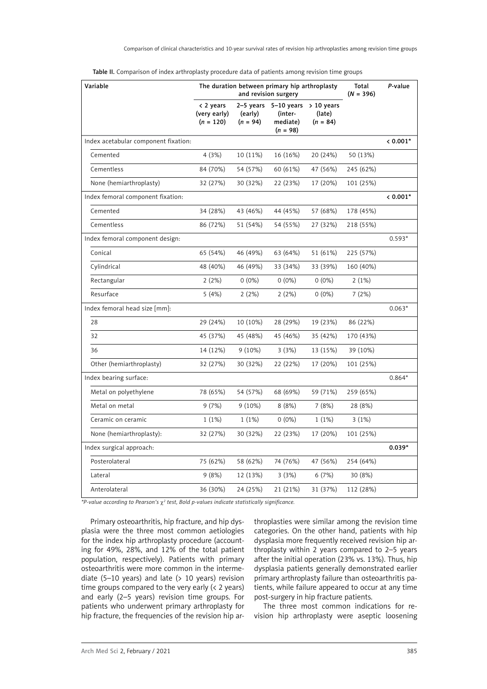| Variable                             | The duration between primary hip arthroplasty<br>and revision surgery |                       |                                                                          | Total<br>$(N = 396)$ | P-value   |          |
|--------------------------------------|-----------------------------------------------------------------------|-----------------------|--------------------------------------------------------------------------|----------------------|-----------|----------|
|                                      | < 2 years<br>(very early)<br>$(n = 120)$                              | (early)<br>$(n = 94)$ | 2-5 years $5-10$ years $> 10$ years<br>(inter-<br>mediate)<br>$(n = 98)$ | (late)<br>$(n = 84)$ |           |          |
| Index acetabular component fixation: |                                                                       |                       |                                                                          |                      |           | $0.001*$ |
| Cemented                             | 4(3%)                                                                 | 10 (11%)              | 16 (16%)                                                                 | 20 (24%)             | 50 (13%)  |          |
| Cementless                           | 84 (70%)                                                              | 54 (57%)              | 60 (61%)                                                                 | 47 (56%)             | 245 (62%) |          |
| None (hemiarthroplasty)              | 32 (27%)                                                              | 30 (32%)              | 22 (23%)                                                                 | 17 (20%)             | 101 (25%) |          |
| Index femoral component fixation:    |                                                                       |                       |                                                                          |                      |           | $0.001*$ |
| Cemented                             | 34 (28%)                                                              | 43 (46%)              | 44 (45%)                                                                 | 57 (68%)             | 178 (45%) |          |
| Cementless                           | 86 (72%)                                                              | 51 (54%)              | 54 (55%)                                                                 | 27 (32%)             | 218 (55%) |          |
| Index femoral component design:      |                                                                       |                       |                                                                          |                      |           | $0.593*$ |
| Conical                              | 65 (54%)                                                              | 46 (49%)              | 63 (64%)                                                                 | 51 (61%)             | 225 (57%) |          |
| Cylindrical                          | 48 (40%)                                                              | 46 (49%)              | 33 (34%)                                                                 | 33 (39%)             | 160 (40%) |          |
| Rectangular                          | 2(2%)                                                                 | $0(0\%)$              | $0(0\%)$                                                                 | $0(0\%)$             | 2(1%)     |          |
| Resurface                            | 5(4%)                                                                 | 2(2%)                 | 2(2%)                                                                    | $0(0\%)$             | 7(2%)     |          |
| Index femoral head size [mm]:        |                                                                       |                       |                                                                          |                      |           | $0.063*$ |
| 28                                   | 29 (24%)                                                              | 10 (10%)              | 28 (29%)                                                                 | 19 (23%)             | 86 (22%)  |          |
| 32                                   | 45 (37%)                                                              | 45 (48%)              | 45 (46%)                                                                 | 35 (42%)             | 170 (43%) |          |
| 36                                   | 14 (12%)                                                              | $9(10\%)$             | 3(3%)                                                                    | 13 (15%)             | 39 (10%)  |          |
| Other (hemiarthroplasty)             | 32 (27%)                                                              | 30 (32%)              | 22 (22%)                                                                 | 17 (20%)             | 101 (25%) |          |
| Index bearing surface:               |                                                                       |                       |                                                                          |                      |           | $0.864*$ |
| Metal on polyethylene                | 78 (65%)                                                              | 54 (57%)              | 68 (69%)                                                                 | 59 (71%)             | 259 (65%) |          |
| Metal on metal                       | 9(7%)                                                                 | $9(10\%)$             | 8(8%)                                                                    | 7(8%)                | 28 (8%)   |          |
| Ceramic on ceramic                   | 1(1%)                                                                 | 1(1%)                 | $0(0\%)$                                                                 | 1(1%)                | 3(1%)     |          |
| None (hemiarthroplasty):             | 32 (27%)                                                              | 30 (32%)              | 22 (23%)                                                                 | 17 (20%)             | 101 (25%) |          |
| Index surgical approach:             |                                                                       |                       |                                                                          |                      |           | $0.039*$ |
| Posterolateral                       | 75 (62%)                                                              | 58 (62%)              | 74 (76%)                                                                 | 47 (56%)             | 254 (64%) |          |
| Lateral                              | 9(8%)                                                                 | 12 (13%)              | 3(3%)                                                                    | 6(7%)                | 30 (8%)   |          |
| Anterolateral                        | 36 (30%)                                                              | 24 (25%)              | 21 (21%)                                                                 | 31 (37%)             | 112 (28%) |          |

| Table II. Comparison of index arthroplasty procedure data of patients among revision time groups |  |  |
|--------------------------------------------------------------------------------------------------|--|--|
|                                                                                                  |  |  |

*\*P-value according to Pearson's* χ*<sup>2</sup> test, Bold p-values indicate statistically significance.*

Primary osteoarthritis, hip fracture, and hip dysplasia were the three most common aetiologies for the index hip arthroplasty procedure (accounting for 49%, 28%, and 12% of the total patient population, respectively). Patients with primary osteoarthritis were more common in the intermediate (5–10 years) and late ( $> 10$  years) revision time groups compared to the very early (< 2 years) and early (2–5 years) revision time groups. For patients who underwent primary arthroplasty for hip fracture, the frequencies of the revision hip arthroplasties were similar among the revision time categories. On the other hand, patients with hip dysplasia more frequently received revision hip arthroplasty within 2 years compared to 2–5 years after the initial operation (23% vs. 13%). Thus, hip dysplasia patients generally demonstrated earlier primary arthroplasty failure than osteoarthritis patients, while failure appeared to occur at any time post-surgery in hip fracture patients.

The three most common indications for revision hip arthroplasty were aseptic loosening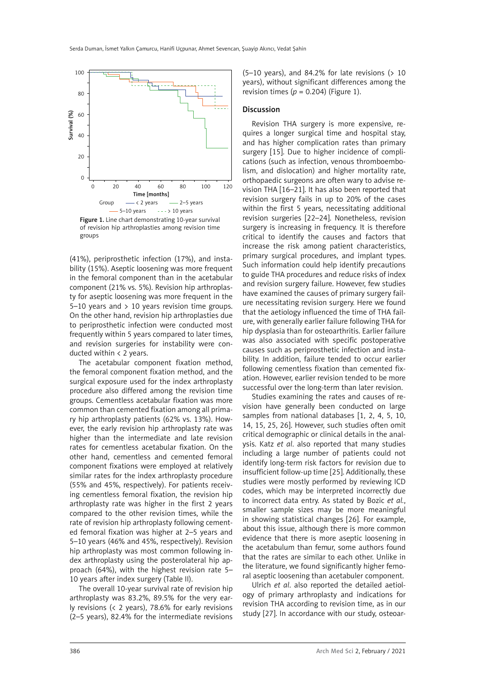

Figure 1. Line chart demonstrating 10-year survival of revision hip arthroplasties among revision time groups

(41%), periprosthetic infection (17%), and instability (15%). Aseptic loosening was more frequent in the femoral component than in the acetabular component (21% vs. 5%). Revision hip arthroplasty for aseptic loosening was more frequent in the  $5-10$  years and  $> 10$  years revision time groups. On the other hand, revision hip arthroplasties due to periprosthetic infection were conducted most frequently within 5 years compared to later times, and revision surgeries for instability were conducted within < 2 years.

The acetabular component fixation method, the femoral component fixation method, and the surgical exposure used for the index arthroplasty procedure also differed among the revision time groups. Cementless acetabular fixation was more common than cemented fixation among all primary hip arthroplasty patients (62% vs. 13%). However, the early revision hip arthroplasty rate was higher than the intermediate and late revision rates for cementless acetabular fixation. On the other hand, cementless and cemented femoral component fixations were employed at relatively similar rates for the index arthroplasty procedure (55% and 45%, respectively). For patients receiving cementless femoral fixation, the revision hip arthroplasty rate was higher in the first 2 years compared to the other revision times, while the rate of revision hip arthroplasty following cemented femoral fixation was higher at 2–5 years and 5–10 years (46% and 45%, respectively). Revision hip arthroplasty was most common following index arthroplasty using the posterolateral hip approach (64%), with the highest revision rate 5– 10 years after index surgery (Table II).

The overall 10-year survival rate of revision hip arthroplasty was 83.2%, 89.5% for the very early revisions (< 2 years), 78.6% for early revisions (2–5 years), 82.4% for the intermediate revisions  $(5-10 \text{ years})$ , and 84.2% for late revisions  $(> 10$ years), without significant differences among the revision times ( $p = 0.204$ ) (Figure 1).

#### Discussion

Revision THA surgery is more expensive, requires a longer surgical time and hospital stay, and has higher complication rates than primary surgery [15]. Due to higher incidence of complications (such as infection, venous thromboembolism, and dislocation) and higher mortality rate, orthopaedic surgeons are often wary to advise revision THA [16–21]. It has also been reported that revision surgery fails in up to 20% of the cases within the first 5 years, necessitating additional revision surgeries [22–24]. Nonetheless, revision surgery is increasing in frequency. It is therefore critical to identify the causes and factors that increase the risk among patient characteristics, primary surgical procedures, and implant types. Such information could help identify precautions to guide THA procedures and reduce risks of index and revision surgery failure. However, few studies have examined the causes of primary surgery failure necessitating revision surgery. Here we found that the aetiology influenced the time of THA failure, with generally earlier failure following THA for hip dysplasia than for osteoarthritis. Earlier failure was also associated with specific postoperative causes such as periprosthetic infection and instability. In addition, failure tended to occur earlier following cementless fixation than cemented fixation. However, earlier revision tended to be more successful over the long-term than later revision.

Studies examining the rates and causes of revision have generally been conducted on large samples from national databases [1, 2, 4, 5, 10, 14, 15, 25, 26]. However, such studies often omit critical demographic or clinical details in the analysis. Katz *et al*. also reported that many studies including a large number of patients could not identify long-term risk factors for revision due to insufficient follow-up time [25]. Additionally, these studies were mostly performed by reviewing ICD codes, which may be interpreted incorrectly due to incorrect data entry. As stated by Bozic *et al.*, smaller sample sizes may be more meaningful in showing statistical changes [26]. For example, about this issue, although there is more common evidence that there is more aseptic loosening in the acetabulum than femur, some authors found that the rates are similar to each other. Unlike in the literature, we found significantly higher femoral aseptic loosening than acetabuler component.

Ulrich *et al*. also reported the detailed aetiology of primary arthroplasty and indications for revision THA according to revision time, as in our study [27]. In accordance with our study, osteoar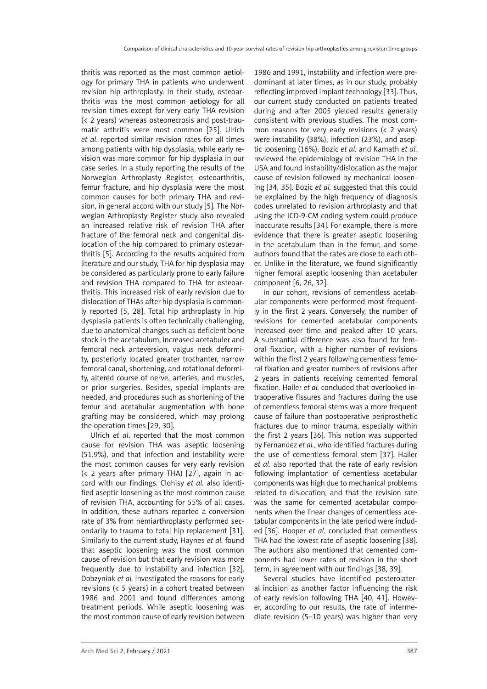thritis was reported as the most common aetiology for primary THA in patients who underwent revision hip arthroplasty. In their study, osteoarthritis was the most common aetiology for all revision times except for very early THA revision (< 2 years) whereas osteonecrosis and post-traumatic arthritis were most common [25]. Ulrich *et al*. reported similar revision rates for all times among patients with hip dysplasia, while early revision was more common for hip dysplasia in our case series. In a study reporting the results of the Norwegian Arthroplasty Register, osteoarthritis, femur fracture, and hip dysplasia were the most common causes for both primary THA and revision, in general accord with our study [5]. The Norwegian Arthroplasty Register study also revealed an increased relative risk of revision THA after fracture of the femoral neck and congenital dislocation of the hip compared to primary osteoarthritis [5]. According to the results acquired from literature and our study, THA for hip dysplasia may be considered as particularly prone to early failure and revision THA compared to THA for osteoarthritis. This increased risk of early revision due to dislocation of THAs after hip dysplasia is commonly reported [5, 28]. Total hip arthroplasty in hip dysplasia patients is often technically challenging, due to anatomical changes such as deficient bone stock in the acetabulum, increased acetabuler and femoral neck anteversion, valgus neck deformity, posteriorly located greater trochanter, narrow femoral canal, shortening, and rotational deformity, altered course of nerve, arteries, and muscles, or prior surgeries. Besides, special implants are needed, and procedures such as shortening of the femur and acetabular augmentation with bone grafting may be considered, which may prolong the operation times [29, 30].

Ulrich *et al*. reported that the most common cause for revision THA was aseptic loosening (51.9%), and that infection and instability were the most common causes for very early revision (< 2 years after primary THA) [27], again in accord with our findings. Clohisy *et al.* also identified aseptic loosening as the most common cause of revision THA, accounting for 55% of all cases. In addition, these authors reported a conversion rate of 3% from hemiarthroplasty performed secondarily to trauma to total hip replacement [31]. Similarly to the current study, Haynes *et al.* found that aseptic loosening was the most common cause of revision but that early revision was more frequently due to instability and infection [32]. Dobzyniak *et al.* investigated the reasons for early revisions (< 5 years) in a cohort treated between 1986 and 2001 and found differences among treatment periods. While aseptic loosening was the most common cause of early revision between

1986 and 1991, instability and infection were predominant at later times, as in our study, probably reflecting improved implant technology [33]. Thus, our current study conducted on patients treated during and after 2005 yielded results generally consistent with previous studies. The most common reasons for very early revisions (< 2 years) were instability (38%), infection (23%), and aseptic loosening (16%). Bozic *et al.* and Kamath *et al.* reviewed the epidemiology of revision THA in the USA and found instability/dislocation as the major cause of revision followed by mechanical loosening [34, 35]. Bozic *et al.* suggested that this could be explained by the high frequency of diagnosis codes unrelated to revision arthroplasty and that using the ICD-9-CM coding system could produce inaccurate results [34]. For example, there is more evidence that there is greater aseptic loosening in the acetabulum than in the femur, and some authors found that the rates are close to each other. Unlike in the literature, we found significantly higher femoral aseptic loosening than acetabuler component [6, 26, 32].

In our cohort, revisions of cementless acetabular components were performed most frequently in the first 2 years. Conversely, the number of revisions for cemented acetabular components increased over time and peaked after 10 years. A substantial difference was also found for femoral fixation, with a higher number of revisions within the first 2 years following cementless femoral fixation and greater numbers of revisions after 2 years in patients receiving cemented femoral fixation. Hailer *et al.* concluded that overlooked intraoperative fissures and fractures during the use of cementless femoral stems was a more frequent cause of failure than postoperative periprosthetic fractures due to minor trauma, especially within the first 2 years [36]. This notion was supported by Fernandez *et al.*, who identified fractures during the use of cementless femoral stem [37]. Hailer *et al.* also reported that the rate of early revision following implantation of cementless acetabular components was high due to mechanical problems related to dislocation, and that the revision rate was the same for cemented acetabular components when the linear changes of cementless acetabular components in the late period were included [36]. Hooper *et al.* concluded that cementless THA had the lowest rate of aseptic loosening [38]. The authors also mentioned that cemented components had lower rates of revision in the short term, in agreement with our findings [38, 39].

Several studies have identified posterolateral incision as another factor influencing the risk of early revision following THA [40, 41]. However, according to our results, the rate of intermediate revision (5–10 years) was higher than very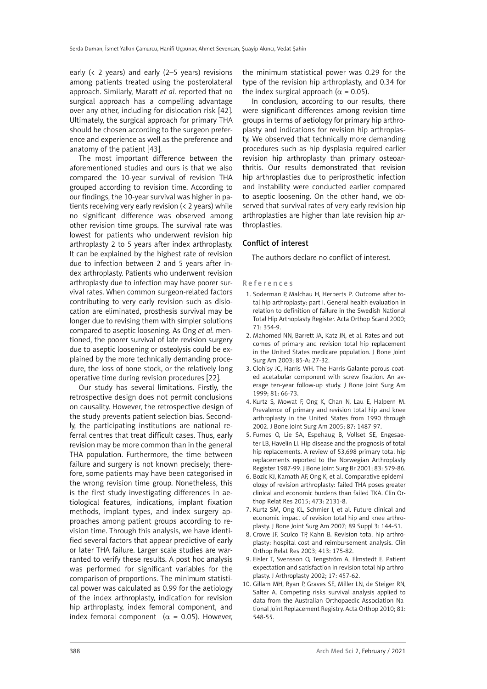early (< 2 years) and early (2–5 years) revisions among patients treated using the posterolateral approach. Similarly, Maratt *et al*. reported that no surgical approach has a compelling advantage over any other, including for dislocation risk [42]. Ultimately, the surgical approach for primary THA should be chosen according to the surgeon preference and experience as well as the preference and anatomy of the patient [43].

The most important difference between the aforementioned studies and ours is that we also compared the 10-year survival of revision THA grouped according to revision time. According to our findings, the 10-year survival was higher in patients receiving very early revision (< 2 years) while no significant difference was observed among other revision time groups. The survival rate was lowest for patients who underwent revision hip arthroplasty 2 to 5 years after index arthroplasty. It can be explained by the highest rate of revision due to infection between 2 and 5 years after index arthroplasty. Patients who underwent revision arthroplasty due to infection may have poorer survival rates. When common surgeon-related factors contributing to very early revision such as dislocation are eliminated, prosthesis survival may be longer due to revising them with simpler solutions compared to aseptic loosening. As Ong *et al*. mentioned, the poorer survival of late revision surgery due to aseptic loosening or osteolysis could be explained by the more technically demanding procedure, the loss of bone stock, or the relatively long operative time during revision procedures [22].

Our study has several limitations. Firstly, the retrospective design does not permit conclusions on causality. However, the retrospective design of the study prevents patient selection bias. Secondly, the participating institutions are national referral centres that treat difficult cases. Thus, early revision may be more common than in the general THA population. Furthermore, the time between failure and surgery is not known precisely; therefore, some patients may have been categorised in the wrong revision time group. Nonetheless, this is the first study investigating differences in aetiological features, indications, implant fixation methods, implant types, and index surgery approaches among patient groups according to revision time. Through this analysis, we have identified several factors that appear predictive of early or later THA failure. Larger scale studies are warranted to verify these results. A post hoc analysis was performed for significant variables for the comparison of proportions. The minimum statistical power was calculated as 0.99 for the aetiology of the index arthroplasty, indication for revision hip arthroplasty, index femoral component, and index femoral component ( $\alpha$  = 0.05). However,

the minimum statistical power was 0.29 for the type of the revision hip arthroplasty, and 0.34 for the index surgical approach ( $\alpha$  = 0.05).

In conclusion, according to our results, there were significant differences among revision time groups in terms of aetiology for primary hip arthroplasty and indications for revision hip arthroplasty. We observed that technically more demanding procedures such as hip dysplasia required earlier revision hip arthroplasty than primary osteoarthritis. Our results demonstrated that revision hip arthroplasties due to periprosthetic infection and instability were conducted earlier compared to aseptic loosening. On the other hand, we observed that survival rates of very early revision hip arthroplasties are higher than late revision hip arthroplasties.

#### Conflict of interest

The authors declare no conflict of interest.

References

- 1. Soderman P, Malchau H, Herberts P. Outcome after total hip arthroplasty: part I. General health evaluation in relation to definition of failure in the Swedish National Total Hip Arthoplasty Register. Acta Orthop Scand 2000; 71: 354-9.
- 2. Mahomed NN, Barrett JA, Katz JN, et al. Rates and outcomes of primary and revision total hip replacement in the United States medicare population. J Bone Joint Surg Am 2003; 85-A: 27-32.
- 3. Clohisy JC, Harris WH. The Harris-Galante porous-coated acetabular component with screw fixation. An average ten-year follow-up study. J Bone Joint Surg Am 1999; 81: 66-73.
- 4. Kurtz S, Mowat F, Ong K, Chan N, Lau E, Halpern M. Prevalence of primary and revision total hip and knee arthroplasty in the United States from 1990 through 2002. J Bone Joint Surg Am 2005; 87: 1487-97.
- 5. Furnes O, Lie SA, Espehaug B, Vollset SE, Engesaeter LB, Havelin LI. Hip disease and the prognosis of total hip replacements. A review of 53,698 primary total hip replacements reported to the Norwegian Arthroplasty Register 1987-99. J Bone Joint Surg Br 2001; 83: 579-86.
- 6. Bozic KJ, Kamath AF, Ong K, et al. Comparative epidemiology of revision arthroplasty: failed THA poses greater clinical and economic burdens than failed TKA. Clin Orthop Relat Res 2015; 473: 2131-8.
- 7. Kurtz SM, Ong KL, Schmier J, et al. Future clinical and economic impact of revision total hip and knee arthroplasty. J Bone Joint Surg Am 2007; 89 Suppl 3: 144-51.
- 8. Crowe JF, Sculco TP, Kahn B. Revision total hip arthroplasty: hospital cost and reimbursement analysis. Clin Orthop Relat Res 2003; 413: 175-82.
- 9. Eisler T, Svensson O, Tengström A, Elmstedt E. Patient expectation and satisfaction in revision total hip arthroplasty. J Arthroplasty 2002; 17: 457-62.
- 10. Gillam MH, Ryan P, Graves SE, Miller LN, de Steiger RN, Salter A. Competing risks survival analysis applied to data from the Australian Orthopaedic Association National Joint Replacement Registry. Acta Orthop 2010; 81: 548-55.